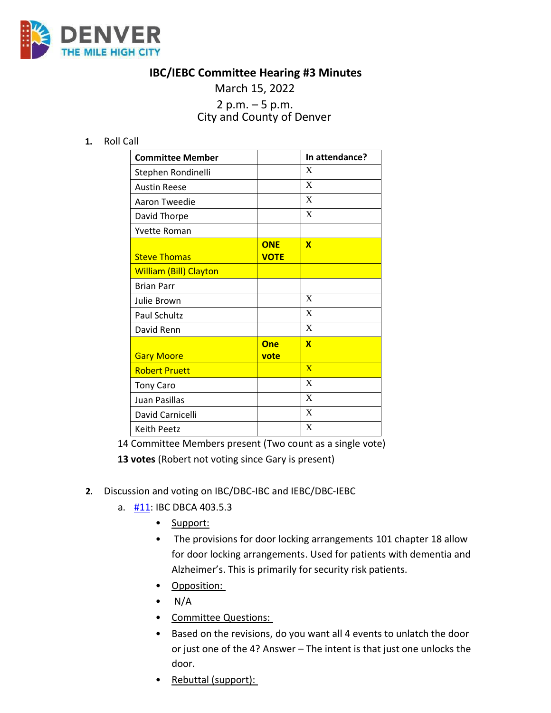

## **IBC/IEBC Committee Hearing #3 Minutes**

# March 15, 2022 2 p.m. – 5 p.m. City and County of Denver

**1.** Roll Call

| <b>Committee Member</b>       |                           | In attendance? |
|-------------------------------|---------------------------|----------------|
| Stephen Rondinelli            |                           | X              |
| <b>Austin Reese</b>           |                           | X              |
| Aaron Tweedie                 |                           | X              |
| David Thorpe                  |                           | X              |
| Yvette Roman                  |                           |                |
| <b>Steve Thomas</b>           | <b>ONE</b><br><b>VOTE</b> | $\mathbf x$    |
| <b>William (Bill) Clayton</b> |                           |                |
| <b>Brian Parr</b>             |                           |                |
| Julie Brown                   |                           | X              |
| <b>Paul Schultz</b>           |                           | X              |
| David Renn                    |                           | X              |
| <b>Gary Moore</b>             | One<br>vote               | $\mathbf x$    |
| <b>Robert Pruett</b>          |                           | $\overline{X}$ |
| <b>Tony Caro</b>              |                           | X              |
| Juan Pasillas                 |                           | X              |
| David Carnicelli              |                           | X              |
| Keith Peetz                   |                           | X              |

14 Committee Members present (Two count as a single vote)

**13 votes** (Robert not voting since Gary is present)

- **2.** Discussion and voting on IBC/DBC-IBC and IEBC/DBC-IEBC
	- a. [#11:](https://www.denvergov.org/files/assets/public/community-planning-and-development/documents/ds/building-codes/code-adoption/amendment-proposals/ibc/ibc_403.5.3.pdf) IBC DBCA 403.5.3
		- Support:
		- The provisions for door locking arrangements 101 chapter 18 allow for door locking arrangements. Used for patients with dementia and Alzheimer's. This is primarily for security risk patients.
		- Opposition:
		- $\bullet$  N/A
		- Committee Questions:
		- Based on the revisions, do you want all 4 events to unlatch the door or just one of the 4? Answer – The intent is that just one unlocks the door.
		- Rebuttal (support):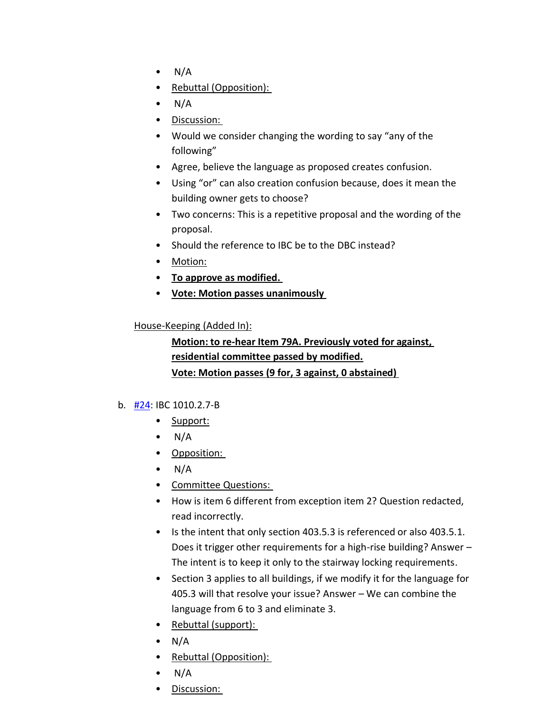- $\bullet$  N/A
- Rebuttal (Opposition):
- $\bullet$  N/A
- Discussion:
- Would we consider changing the wording to say "any of the following"
- Agree, believe the language as proposed creates confusion.
- Using "or" can also creation confusion because, does it mean the building owner gets to choose?
- Two concerns: This is a repetitive proposal and the wording of the proposal.
- Should the reference to IBC be to the DBC instead?
- Motion:
- **To approve as modified.**
- **Vote: Motion passes unanimously**

#### House-Keeping (Added In):

**Motion: to re-hear Item 79A. Previously voted for against, residential committee passed by modified. Vote: Motion passes (9 for, 3 against, 0 abstained)** 

#### b.  $\frac{1}{24}$ : IBC 1010.2.7-B

- Support:
- $\bullet$  N/A
- Opposition:
- $\bullet$  N/A
- Committee Questions:
- How is item 6 different from exception item 2? Question redacted, read incorrectly.
- Is the intent that only section 403.5.3 is referenced or also 403.5.1. Does it trigger other requirements for a high-rise building? Answer – The intent is to keep it only to the stairway locking requirements.
- Section 3 applies to all buildings, if we modify it for the language for 405.3 will that resolve your issue? Answer – We can combine the language from 6 to 3 and eliminate 3.
- Rebuttal (support):
- $\bullet$  N/A
- Rebuttal (Opposition):
- $\bullet$  N/A
- Discussion: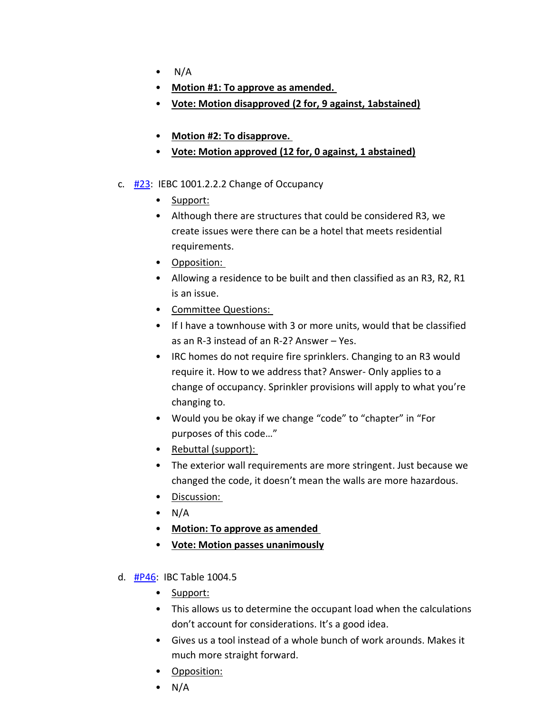- $\bullet$  N/A
- **Motion #1: To approve as amended.**
- **Vote: Motion disapproved (2 for, 9 against, 1abstained)**
- **Motion #2: To disapprove.**
- **Vote: Motion approved (12 for, 0 against, 1 abstained)**
- c. [#23:](https://www.denvergov.org/files/assets/public/community-planning-and-development/documents/ds/building-codes/code-adoption/amendment-proposals/iebc/iebc_1001.2.2.2.pdf) IEBC 1001.2.2.2 Change of Occupancy
	- Support:
	- Although there are structures that could be considered R3, we create issues were there can be a hotel that meets residential requirements.
	- Opposition:
	- Allowing a residence to be built and then classified as an R3, R2, R1 is an issue.
	- Committee Questions:
	- If I have a townhouse with 3 or more units, would that be classified as an R-3 instead of an R-2? Answer – Yes.
	- IRC homes do not require fire sprinklers. Changing to an R3 would require it. How to we address that? Answer- Only applies to a change of occupancy. Sprinkler provisions will apply to what you're changing to.
	- Would you be okay if we change "code" to "chapter" in "For purposes of this code…"
	- Rebuttal (support):
	- The exterior wall requirements are more stringent. Just because we changed the code, it doesn't mean the walls are more hazardous.
	- Discussion:
	- $\bullet$  N/A
	- **Motion: To approve as amended**
	- **Vote: Motion passes unanimously**
- d. [#P46:](https://www.denvergov.org/files/assets/public/community-planning-and-development/documents/ds/building-codes/code-adoption/amendment-proposals/ibc/ibc_dbc_table-1004.5.pdf) IBC Table 1004.5
	- Support:
	- This allows us to determine the occupant load when the calculations don't account for considerations. It's a good idea.
	- Gives us a tool instead of a whole bunch of work arounds. Makes it much more straight forward.
	- Opposition:
	- $\bullet$  N/A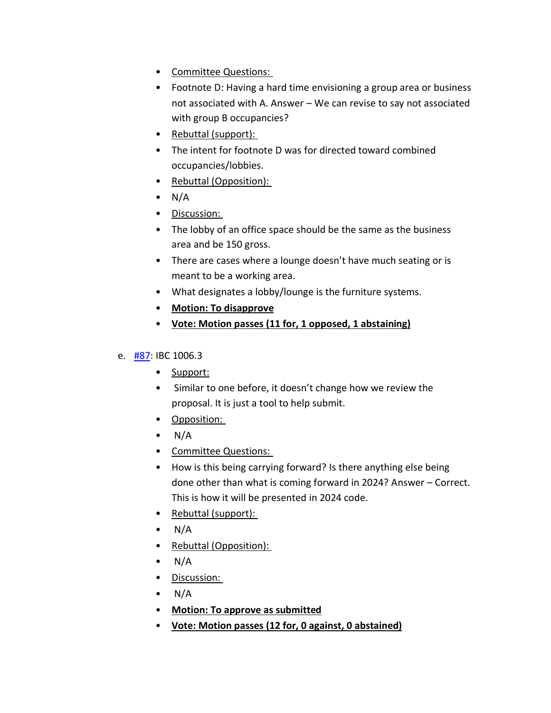- Committee Questions:
- Footnote D: Having a hard time envisioning a group area or business not associated with A. Answer – We can revise to say not associated with group B occupancies?
- Rebuttal (support):
- The intent for footnote D was for directed toward combined occupancies/lobbies.
- Rebuttal (Opposition):
- $\bullet$  N/A
- Discussion:
- The lobby of an office space should be the same as the business area and be 150 gross.
- There are cases where a lounge doesn't have much seating or is meant to be a working area.
- What designates a lobby/lounge is the furniture systems.
- **Motion: To disapprove**
- **Vote: Motion passes (11 for, 1 opposed, 1 abstaining)**

### e. [#87:](https://www.denvergov.org/files/assets/public/community-planning-and-development/documents/ds/building-codes/code-adoption/amendment-proposals/ibc/ibc_1006.3.pdf) IBC 1006.3

- Support:
- Similar to one before, it doesn't change how we review the proposal. It is just a tool to help submit.
- Opposition:
- $\bullet$  N/A
- Committee Questions:
- How is this being carrying forward? Is there anything else being done other than what is coming forward in 2024? Answer – Correct. This is how it will be presented in 2024 code.
- Rebuttal (support):
- $\bullet$  N/A
- Rebuttal (Opposition):
- $\bullet$  N/A
- Discussion:
- $\bullet$  N/A
- **Motion: To approve as submitted**
- **Vote: Motion passes (12 for, 0 against, 0 abstained)**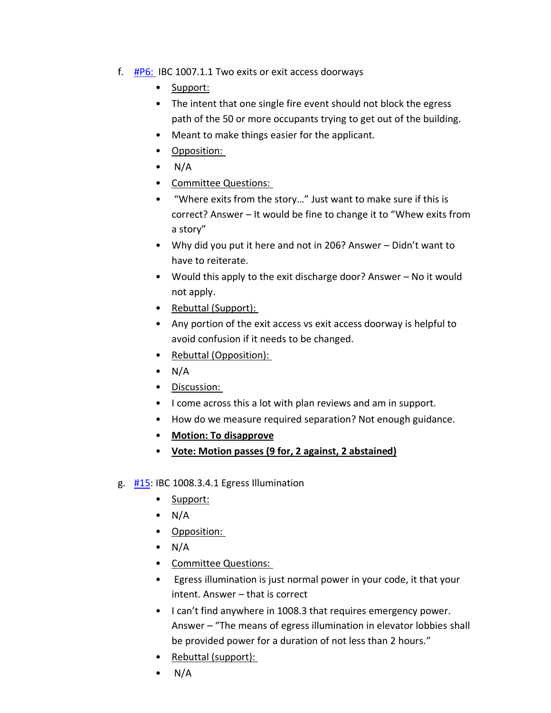- f.  $\#P6$ : IBC 1007.1.1 Two exits or exit access doorways
	- Support:
	- The intent that one single fire event should not block the egress path of the 50 or more occupants trying to get out of the building.
	- Meant to make things easier for the applicant.
	- Opposition:
	- $\bullet$  N/A
	- Committee Questions:
	- "Where exits from the story…" Just want to make sure if this is correct? Answer – It would be fine to change it to "Whew exits from a story"
	- Why did you put it here and not in 206? Answer Didn't want to have to reiterate.
	- Would this apply to the exit discharge door? Answer No it would not apply.
	- Rebuttal (Support):
	- Any portion of the exit access vs exit access doorway is helpful to avoid confusion if it needs to be changed.
	- Rebuttal (Opposition):
	- $\bullet$  N/A
	- Discussion:
	- I come across this a lot with plan reviews and am in support.
	- How do we measure required separation? Not enough guidance.
	- **Motion: To disapprove**
	- **Vote: Motion passes (9 for, 2 against, 2 abstained)**
- g.  $\frac{#15}{}$ : IBC 1008.3.4.1 Egress Illumination
	- Support:
	- $\bullet$  N/A
	- Opposition:
	- $\bullet$  N/A
	- Committee Questions:
	- Egress illumination is just normal power in your code, it that your intent. Answer – that is correct
	- I can't find anywhere in 1008.3 that requires emergency power. Answer – "The means of egress illumination in elevator lobbies shall be provided power for a duration of not less than 2 hours."
	- Rebuttal (support):
	- $\bullet$  N/A